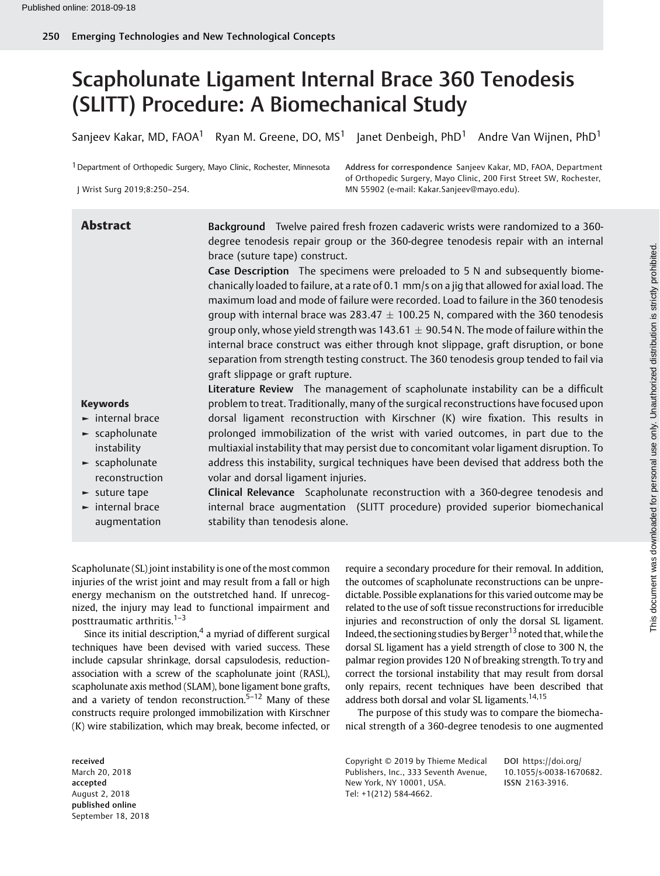# Scapholunate Ligament Internal Brace 360 Tenodesis (SLITT) Procedure: A Biomechanical Study

Sanjeev Kakar, MD, FAOA<sup>1</sup> Ryan M. Greene, DO, MS<sup>1</sup> Janet Denbeigh, PhD<sup>1</sup> Andre Van Wijnen, PhD<sup>1</sup>

<sup>1</sup> Department of Orthopedic Surgery, Mayo Clinic, Rochester, Minnesota

J Wrist Surg 2019;8:250–254.

Address for correspondence Sanjeev Kakar, MD, FAOA, Department of Orthopedic Surgery, Mayo Clinic, 200 First Street SW, Rochester, MN 55902 (e-mail: [Kakar.Sanjeev@mayo.edu](mailto:Kakar.Sanjeev@mayo.edu)).

| <b>Abstract</b>                      | Background Twelve paired fresh frozen cadaveric wrists were randomized to a 360-              |  |  |  |  |  |  |
|--------------------------------------|-----------------------------------------------------------------------------------------------|--|--|--|--|--|--|
|                                      | degree tenodesis repair group or the 360-degree tenodesis repair with an internal             |  |  |  |  |  |  |
|                                      | brace (suture tape) construct.                                                                |  |  |  |  |  |  |
|                                      | Case Description The specimens were preloaded to 5 N and subsequently biome-                  |  |  |  |  |  |  |
|                                      | chanically loaded to failure, at a rate of 0.1 mm/s on a jig that allowed for axial load. The |  |  |  |  |  |  |
|                                      | maximum load and mode of failure were recorded. Load to failure in the 360 tenodesis          |  |  |  |  |  |  |
|                                      | group with internal brace was 283.47 $\pm$ 100.25 N, compared with the 360 tenodesis          |  |  |  |  |  |  |
|                                      | group only, whose yield strength was 143.61 $\pm$ 90.54 N. The mode of failure within the     |  |  |  |  |  |  |
|                                      | internal brace construct was either through knot slippage, graft disruption, or bone          |  |  |  |  |  |  |
|                                      | separation from strength testing construct. The 360 tenodesis group tended to fail via        |  |  |  |  |  |  |
|                                      | graft slippage or graft rupture.                                                              |  |  |  |  |  |  |
|                                      | Literature Review The management of scapholunate instability can be a difficult               |  |  |  |  |  |  |
| <b>Keywords</b>                      | problem to treat. Traditionally, many of the surgical reconstructions have focused upon       |  |  |  |  |  |  |
| $\blacktriangleright$ internal brace | dorsal ligament reconstruction with Kirschner (K) wire fixation. This results in              |  |  |  |  |  |  |
| $\blacktriangleright$ scapholunate   | prolonged immobilization of the wrist with varied outcomes, in part due to the                |  |  |  |  |  |  |
| instability                          | multiaxial instability that may persist due to concomitant volar ligament disruption. To      |  |  |  |  |  |  |
| $\blacktriangleright$ scapholunate   | address this instability, surgical techniques have been devised that address both the         |  |  |  |  |  |  |
| reconstruction                       | volar and dorsal ligament injuries.                                                           |  |  |  |  |  |  |
| $\blacktriangleright$ suture tape    | Clinical Relevance Scapholunate reconstruction with a 360-degree tenodesis and                |  |  |  |  |  |  |
| $\blacktriangleright$ internal brace | internal brace augmentation (SLITT procedure) provided superior biomechanical                 |  |  |  |  |  |  |
| augmentation                         | stability than tenodesis alone.                                                               |  |  |  |  |  |  |

Scapholunate (SL) joint instability is one of the most common injuries of the wrist joint and may result from a fall or high energy mechanism on the outstretched hand. If unrecognized, the injury may lead to functional impairment and posttraumatic arthritis.1–<sup>3</sup>

Since its initial description, $4$  a myriad of different surgical techniques have been devised with varied success. These include capsular shrinkage, dorsal capsulodesis, reductionassociation with a screw of the scapholunate joint (RASL), scapholunate axis method (SLAM), bone ligament bone grafts, and a variety of tendon reconstruction.<sup>5-12</sup> Many of these constructs require prolonged immobilization with Kirschner (K) wire stabilization, which may break, become infected, or

received March 20, 2018 accepted August 2, 2018 published online September 18, 2018

require a secondary procedure for their removal. In addition, the outcomes of scapholunate reconstructions can be unpredictable. Possible explanations for this varied outcome may be related to the use of soft tissue reconstructions for irreducible injuries and reconstruction of only the dorsal SL ligament. Indeed, the sectioning studies by Berger<sup>13</sup> noted that, while the dorsal SL ligament has a yield strength of close to 300 N, the palmar region provides 120 N of breaking strength. To try and correct the torsional instability that may result from dorsal only repairs, recent techniques have been described that address both dorsal and volar SL ligaments.<sup>14,15</sup>

The purpose of this study was to compare the biomechanical strength of a 360-degree tenodesis to one augmented

Copyright © 2019 by Thieme Medical Publishers, Inc., 333 Seventh Avenue, New York, NY 10001, USA. Tel: +1(212) 584-4662.

DOI [https://doi.org/](https://doi.org/10.1055/s-0038-1670682) [10.1055/s-0038-1670682](https://doi.org/10.1055/s-0038-1670682). ISSN 2163-3916.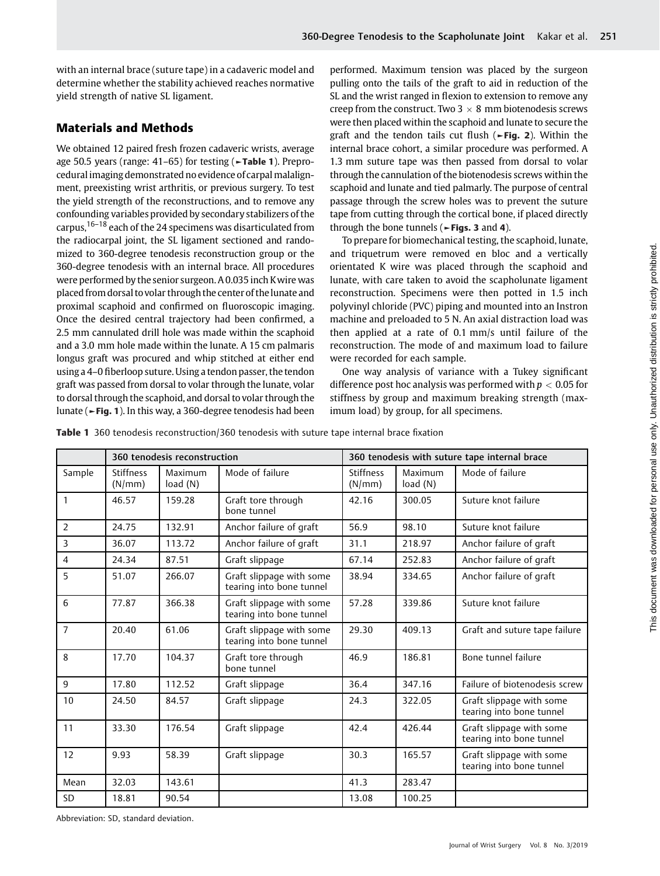with an internal brace (suture tape) in a cadaveric model and determine whether the stability achieved reaches normative yield strength of native SL ligament.

# Materials and Methods

We obtained 12 paired fresh frozen cadaveric wrists, average age 50.5 years (range: 41–65) for testing (►Table 1). Preprocedural imaging demonstrated no evidence of carpal malalignment, preexisting wrist arthritis, or previous surgery. To test the yield strength of the reconstructions, and to remove any confounding variables provided by secondary stabilizers of the carpus,16–<sup>18</sup> each of the 24 specimens was disarticulated from the radiocarpal joint, the SL ligament sectioned and randomized to 360-degree tenodesis reconstruction group or the 360-degree tenodesis with an internal brace. All procedures were performed by the senior surgeon. A 0.035 inch Kwire was placed from dorsal to volar through the center of thelunate and proximal scaphoid and confirmed on fluoroscopic imaging. Once the desired central trajectory had been confirmed, a 2.5 mm cannulated drill hole was made within the scaphoid and a 3.0 mm hole made within the lunate. A 15 cm palmaris longus graft was procured and whip stitched at either end using a 4–0 fiberloop suture. Using a tendon passer, the tendon graft was passed from dorsal to volar through the lunate, volar to dorsal through the scaphoid, and dorsal to volar through the lunate (►Fig. 1). In this way, a 360-degree tenodesis had been performed. Maximum tension was placed by the surgeon pulling onto the tails of the graft to aid in reduction of the SL and the wrist ranged in flexion to extension to remove any creep from the construct. Two  $3 \times 8$  mm biotenodesis screws were then placed within the scaphoid and lunate to secure the graft and the tendon tails cut flush (►Fig. 2). Within the internal brace cohort, a similar procedure was performed. A 1.3 mm suture tape was then passed from dorsal to volar through the cannulation of the biotenodesis screws within the scaphoid and lunate and tied palmarly. The purpose of central passage through the screw holes was to prevent the suture tape from cutting through the cortical bone, if placed directly through the bone tunnels ( $\blacktriangleright$  Figs. 3 and 4).

To prepare for biomechanical testing, the scaphoid, lunate, and triquetrum were removed en bloc and a vertically orientated K wire was placed through the scaphoid and lunate, with care taken to avoid the scapholunate ligament reconstruction. Specimens were then potted in 1.5 inch polyvinyl chloride (PVC) piping and mounted into an Instron machine and preloaded to 5 N. An axial distraction load was then applied at a rate of 0.1 mm/s until failure of the reconstruction. The mode of and maximum load to failure were recorded for each sample.

One way analysis of variance with a Tukey significant difference post hoc analysis was performed with  $p < 0.05$  for stiffness by group and maximum breaking strength (maximum load) by group, for all specimens.

Table 1 360 tenodesis reconstruction/360 tenodesis with suture tape internal brace fixation

|                | 360 tenodesis reconstruction |                     |                                                      | 360 tenodesis with suture tape internal brace |                     |                                                      |
|----------------|------------------------------|---------------------|------------------------------------------------------|-----------------------------------------------|---------------------|------------------------------------------------------|
| Sample         | <b>Stiffness</b><br>(N/mm)   | Maximum<br>load (N) | Mode of failure                                      | <b>Stiffness</b><br>(N/mm)                    | Maximum<br>load (N) | Mode of failure                                      |
| 1              | 46.57                        | 159.28              | Graft tore through<br>bone tunnel                    | 42.16                                         | 300.05              | Suture knot failure                                  |
| $\overline{2}$ | 24.75                        | 132.91              | Anchor failure of graft                              | 56.9                                          | 98.10               | Suture knot failure                                  |
| 3              | 36.07                        | 113.72              | Anchor failure of graft                              | 31.1                                          | 218.97              | Anchor failure of graft                              |
| 4              | 24.34                        | 87.51               | Graft slippage                                       | 67.14                                         | 252.83              | Anchor failure of graft                              |
| 5              | 51.07                        | 266.07              | Graft slippage with some<br>tearing into bone tunnel | 38.94                                         | 334.65              | Anchor failure of graft                              |
| 6              | 77.87                        | 366.38              | Graft slippage with some<br>tearing into bone tunnel | 57.28                                         | 339.86              | Suture knot failure                                  |
| $\overline{7}$ | 20.40                        | 61.06               | Graft slippage with some<br>tearing into bone tunnel | 29.30                                         | 409.13              | Graft and suture tape failure                        |
| 8              | 17.70                        | 104.37              | Graft tore through<br>bone tunnel                    | 46.9                                          | 186.81              | Bone tunnel failure                                  |
| 9              | 17.80                        | 112.52              | Graft slippage                                       | 36.4                                          | 347.16              | Failure of biotenodesis screw                        |
| 10             | 24.50                        | 84.57               | Graft slippage                                       | 24.3                                          | 322.05              | Graft slippage with some<br>tearing into bone tunnel |
| 11             | 33.30                        | 176.54              | Graft slippage                                       | 42.4                                          | 426.44              | Graft slippage with some<br>tearing into bone tunnel |
| 12             | 9.93                         | 58.39               | Graft slippage                                       | 30.3                                          | 165.57              | Graft slippage with some<br>tearing into bone tunnel |
| Mean           | 32.03                        | 143.61              |                                                      | 41.3                                          | 283.47              |                                                      |
| <b>SD</b>      | 18.81                        | 90.54               |                                                      | 13.08                                         | 100.25              |                                                      |

Abbreviation: SD, standard deviation.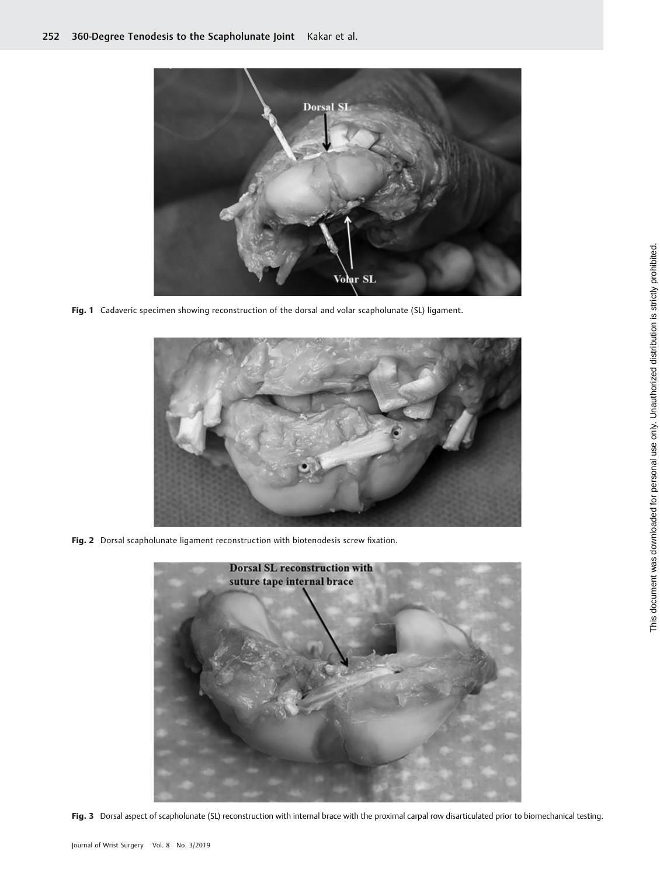

Fig. 1 Cadaveric specimen showing reconstruction of the dorsal and volar scapholunate (SL) ligament.



Fig. 2 Dorsal scapholunate ligament reconstruction with biotenodesis screw fixation.



Fig. 3 Dorsal aspect of scapholunate (SL) reconstruction with internal brace with the proximal carpal row disarticulated prior to biomechanical testing.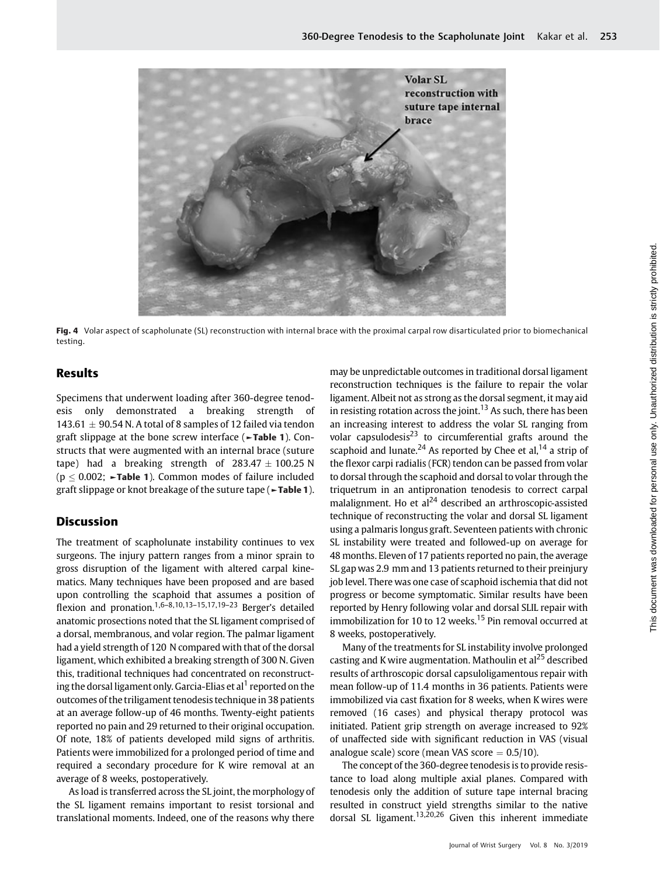

Fig. 4 Volar aspect of scapholunate (SL) reconstruction with internal brace with the proximal carpal row disarticulated prior to biomechanical testing.

## Results

Specimens that underwent loading after 360-degree tenodesis only demonstrated a breaking strength of 143.61  $\pm$  90.54 N. A total of 8 samples of 12 failed via tendon graft slippage at the bone screw interface (►Table 1). Constructs that were augmented with an internal brace (suture tape) had a breaking strength of  $283.47 \pm 100.25$  N ( $p \leq 0.002$ ;  $\blacktriangleright$ Table 1). Common modes of failure included graft slippage or knot breakage of the suture tape (►Table 1).

### Discussion

The treatment of scapholunate instability continues to vex surgeons. The injury pattern ranges from a minor sprain to gross disruption of the ligament with altered carpal kinematics. Many techniques have been proposed and are based upon controlling the scaphoid that assumes a position of flexion and pronation.<sup>1,6–8,10,13–15,17,19–23</sup> Berger's detailed anatomic prosections noted that the SL ligament comprised of a dorsal, membranous, and volar region. The palmar ligament had a yield strength of 120 N compared with that of the dorsal ligament, which exhibited a breaking strength of 300 N. Given this, traditional techniques had concentrated on reconstructing the dorsal ligament only. Garcia-Elias et al<sup>1</sup> reported on the outcomes of the triligament tenodesis technique in 38 patients at an average follow-up of 46 months. Twenty-eight patients reported no pain and 29 returned to their original occupation. Of note, 18% of patients developed mild signs of arthritis. Patients were immobilized for a prolonged period of time and required a secondary procedure for K wire removal at an average of 8 weeks, postoperatively.

As load is transferred across the SL joint, the morphology of the SL ligament remains important to resist torsional and translational moments. Indeed, one of the reasons why there

may be unpredictable outcomes in traditional dorsal ligament reconstruction techniques is the failure to repair the volar ligament. Albeit not as strong as the dorsal segment, it may aid in resisting rotation across the joint.<sup>13</sup> As such, there has been an increasing interest to address the volar SL ranging from volar capsulodesis $^{23}$  to circumferential grafts around the scaphoid and lunate.<sup>24</sup> As reported by Chee et al,<sup>14</sup> a strip of the flexor carpi radialis (FCR) tendon can be passed from volar to dorsal through the scaphoid and dorsal to volar through the triquetrum in an antipronation tenodesis to correct carpal malalignment. Ho et  $al^{24}$  described an arthroscopic-assisted technique of reconstructing the volar and dorsal SL ligament using a palmaris longus graft. Seventeen patients with chronic SL instability were treated and followed-up on average for 48 months. Eleven of 17 patients reported no pain, the average SL gap was 2.9 mm and 13 patients returned to their preinjury job level. There was one case of scaphoid ischemia that did not progress or become symptomatic. Similar results have been reported by Henry following volar and dorsal SLIL repair with immobilization for 10 to 12 weeks.<sup>15</sup> Pin removal occurred at 8 weeks, postoperatively.

Many of the treatments for SL instability involve prolonged casting and K wire augmentation. Mathoulin et al<sup>25</sup> described results of arthroscopic dorsal capsuloligamentous repair with mean follow-up of 11.4 months in 36 patients. Patients were immobilized via cast fixation for 8 weeks, when K wires were removed (16 cases) and physical therapy protocol was initiated. Patient grip strength on average increased to 92% of unaffected side with significant reduction in VAS (visual analogue scale) score (mean VAS score  $= 0.5/10$ ).

The concept of the 360-degree tenodesis is to provide resistance to load along multiple axial planes. Compared with tenodesis only the addition of suture tape internal bracing resulted in construct yield strengths similar to the native dorsal SL ligament.<sup>13,20,26</sup> Given this inherent immediate